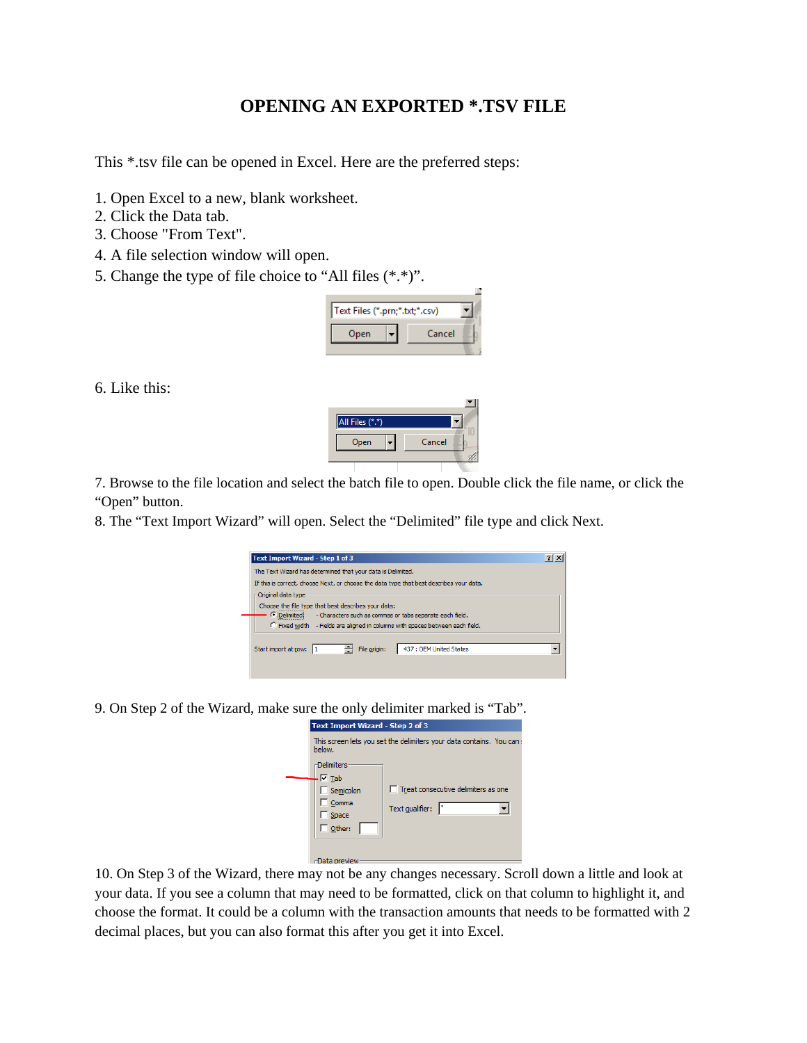## **OPENING AN EXPORTED \*.TSV FILE**

This \*.tsv file can be opened in Excel. Here are the preferred steps:

- 1. Open Excel to a new, blank worksheet.
- 2. Click the Data tab.
- 3. Choose "From Text".
- 4. A file selection window will open.
- 5. Change the type of file choice to "All files (\*.\*)".



6. Like this:



Cance

8. The "Text Import Wizard" will open. Select the "Delimited" file type and click Next.

All Files (\*.\*) Open

| Text Import Wizard - Step 1 of 3                                                        |  |  |  |  |
|-----------------------------------------------------------------------------------------|--|--|--|--|
| The Text Wizard has determined that your data is Delimited.                             |  |  |  |  |
| If this is correct, choose Next, or choose the data type that best describes your data. |  |  |  |  |
| Original data type                                                                      |  |  |  |  |
| Choose the file type that best describes your data:                                     |  |  |  |  |
| C Delimited<br>- Characters such as commas or tabs separate each field.                 |  |  |  |  |
| C Fixed width - Fields are aligned in columns with spaces between each field.           |  |  |  |  |
|                                                                                         |  |  |  |  |
| ÷<br>File origin:<br>437 : OEM United States<br>Start import at row:                    |  |  |  |  |
|                                                                                         |  |  |  |  |

9. On Step 2 of the Wizard, make sure the only delimiter marked is "Tab".

| Text Import Wizard - Step 2 of 3                                                  |                                                        |  |  |  |
|-----------------------------------------------------------------------------------|--------------------------------------------------------|--|--|--|
| This screen lets you set the delimiters your data contains. You can:<br>below.    |                                                        |  |  |  |
| <b>Delimiters</b><br>$\nabla$ Tab<br>Semicolon<br>Comma<br>Space<br>$\Box$ Other: | Treat consecutive delimiters as one<br>Text gualifier: |  |  |  |
| -Data preview                                                                     |                                                        |  |  |  |

10. On Step 3 of the Wizard, there may not be any changes necessary. Scroll down a little and look at your data. If you see a column that may need to be formatted, click on that column to highlight it, and choose the format. It could be a column with the transaction amounts that needs to be formatted with 2 decimal places, but you can also format this after you get it into Excel.